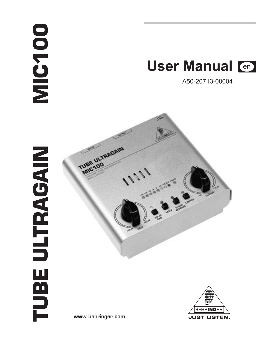# **MIC100**



A50-20713-00004





www.behringer.com

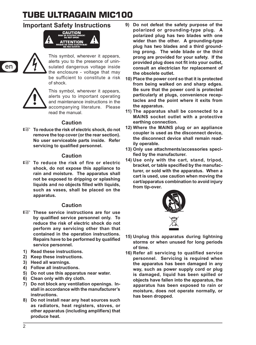#### **Important Safety Instructions**





This symbol, wherever it appears, alerts you to the presence of uninsulated dangerous voltage inside the enclosure - voltage that may be sufficient to constitute a risk of shock.



This symbol, wherever it appears,<br>and maintenance instructions in the<br>accompanying literature. Please and maintenance instructions in the accompanying literature. Please read the manual.

#### **Caution**

 $\mathbb{R}$  **To reduce the risk of electric shock, do not remove the top cover (or the rear section). No user serviceable parts inside. Refer servicing to qualified personnel.**

#### **Caution**

 $t$  **To reduce the risk of fire or electric shock, do not expose this appliance to rain and moisture. The apparatus shall not be exposed to dripping or splashing liquids and no objects filled with liquids, such as vases, shall be placed on the apparatus.**

#### **Caution**

- **EXP** These service instructions are for use **by qualified service personnel only. To reduce the risk of electric shock do not perform any servicing other than that contained in the operation instructions. Repairs have to be performed by qualified service personnel.**
- **1) Read these instructions.**
- **2) Keep these instructions.**
- **3) Heed all warnings.**
- **4) Follow all instructions.**
- **5) Do not use this apparatus near water.**
- **6) Clean only with dry cloth.**
- **7) Do not block any ventilation openings. Install in accordance with the manufacturer's instructions.**
- **8) Do not install near any heat sources such as radiators, heat registers, stoves, or other apparatus (including amplifiers) that produce heat.**
- **9) Do not defeat the safety purpose of the polarized or grounding-type plug. A polarized plug has two blades with one wider than the other. A grounding-type plug has two blades and a third grounding prong. The wide blade or the third prong are provided for your safety. If the provided plug does not fit into your outlet, consult an electrician for replacement of the obsolete outlet.**
- **10) Place the power cord so that it is protected from being walked on and sharp edges. Be sure that the power cord is protected particularly at plugs, convenience receptacles and the point where it exits from the apparatus.**
- **11) The apparatus shall be connected to a MAINS socket outlet with a protective earthing connection.**
- **12) Where the MAINS plug or an appliance coupler is used as the disconnect device, the disconnect device shall remain readily operable.**
- **13) Only use attachments/accessories specified by the manufacturer.**
- **14) Use only with the cart, stand, tripod, bracket, or table specified by the manufacturer, or sold with the apparatus. When a cart is used, use caution when moving the cart/apparatus combination to avoid injury from tip-over.**



- **15) Unplug this apparatus during lightning storms or when unused for long periods of time.**
- **16) Refer all servicing to qualified service personnel. Servicing is required when the apparatus has been damaged in any way, such as power supply cord or plug is damaged, liquid has been spilled or objects have fallen into the apparatus, the apparatus has been exposed to rain or moisture, does not operate normally, or has been dropped.**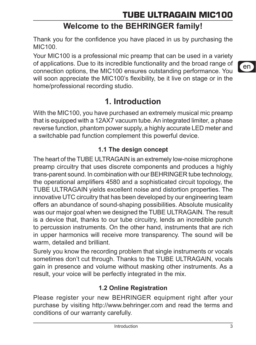## **Welcome to the BEHRINGER family!**

Thank you for the confidence you have placed in us by purchasing the MIC100.

Your MIC100 is a professional mic preamp that can be used in a variety of applications. Due to its incredible functionality and the broad range of connection options, the MIC100 ensures outstanding performance. You will soon appreciate the MIC100's flexibility, be it live on stage or in the home/professional recording studio.

## **1. Introduction**

With the MIC100, you have purchased an extremely musical mic preamp that is equipped with a 12AX7 vacuum tube. An integrated limiter, a phase reverse function, phantom power supply, a highly accurate LED meter and a switchable pad function complement this powerful device.

## **1.1 The design concept**

The heart of the TUBE ULTRAGAIN is an extremely low-noise microphone preamp circuitry that uses discrete components and produces a highly trans-parent sound. In combination with our BEHRINGER tube technology, the operational amplifiers 4580 and a sophisticated circuit topology, the TUBE ULTRAGAIN yields excellent noise and distortion properties. The innovative UTC circuitry that has been developed by our engineering team offers an abundance of sound-shaping possibilities. Absolute musicality was our major goal when we designed the TUBE ULTRAGAIN. The result is a device that, thanks to our tube circuitry, lends an incredible punch to percussion instruments. On the other hand, instruments that are rich in upper harmonics will receive more transparency. The sound will be warm, detailed and brilliant.

Surely you know the recording problem that single instruments or vocals sometimes don't cut through. Thanks to the TUBE ULTRAGAIN, vocals gain in presence and volume without masking other instruments. As a result, your voice will be perfectly integrated in the mix.

## **1.2 Online Registration**

Please register your new BEHRINGER equipment right after your purchase by visiting http://www.behringer.com and read the terms and conditions of our warranty carefully.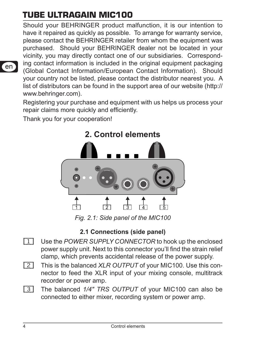Should your BEHRINGER product malfunction, it is our intention to have it repaired as quickly as possible. To arrange for warranty service, please contact the BEHRINGER retailer from whom the equipment was purchased. Should your BEHRINGER dealer not be located in your vicinity, you may directly contact one of our subsidiaries. Corresponding contact information is included in the original equipment packaging (Global Contact Information/European Contact Information). Should your country not be listed, please contact the distributor nearest you. A list of distributors can be found in the support area of our website (http:// www.behringer.com).

Registering your purchase and equipment with us helps us process your repair claims more quickly and efficiently.

Thank you for your cooperation!



*Fig. 2.1: Side panel of the MIC100*

## **2.1 Connections (side panel)**

- {1} Use the *POWER SUPPLY CONNECTOR* to hook up the enclosed power supply unit. Next to this connector you'll find the strain relief clamp, which prevents accidental release of the power supply.
- {2} This is the balanced *XLR OUTPUT* of your MIC100. Use this connector to feed the XLR input of your mixing console, multitrack recorder or power amp.
- {3} The balanced *1/4" TRS OUTPUT* of your MIC100 can also be connected to either mixer, recording system or power amp.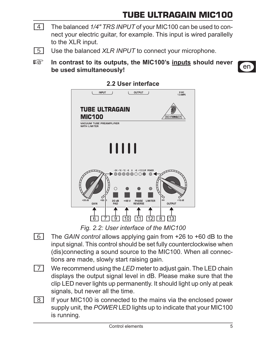- {4} The balanced *1/4" TRS INPUT* of your MIC100 can be used to connect your electric guitar, for example. This input is wired parallelly to the XLR input.
- {5} Use the balanced *XLR INPUT* to connect your microphone.
- **IS In contrast to its outputs, the MIC100's inputs should never be used simultaneously!**



#### **2.2 User interface**

*Fig. 2.2: User interface of the MIC100*

- {6} The *GAIN control* allows applying gain from +26 to +60 dB to the input signal. This control should be set fully counterclockwise when (dis)connecting a sound source to the MIC100. When all connections are made, slowly start raising gain.
- **[7]** We recommend using the *LED* meter to adjust gain. The LED chain displays the output signal level in dB. Please make sure that the clip LED never lights up permanently. It should light up only at peak signals, but never all the time.
- {8} If your MIC100 is connected to the mains via the enclosed power supply unit, the *POWER* LED lights up to indicate that your MIC100 is running.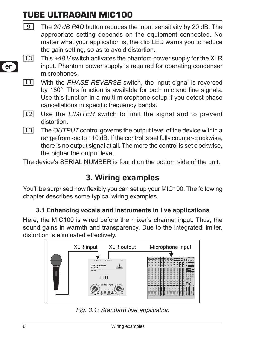- {9} The *20 dB PAD* button reduces the input sensitivity by 20 dB. The appropriate setting depends on the equipment connected. No matter what your application is, the clip LED warns you to reduce the gain setting, so as to avoid distortion.
- (10) This *+48 V* switch activates the phantom power supply for the XLR input. Phantom power supply is required for operating condenser microphones.
- (11) With the *PHASE REVERSE* switch, the input signal is reversed by 180°. This function is available for both mic and line signals. Use this function in a multi-microphone setup if you detect phase cancellations in specific frequency bands.
- (12) Use the *LIMITER* switch to limit the signal and to prevent distortion.
- (13) The *OUTPUT* control governs the output level of the device within a range from -oo to +10 dB. If the control is set fully counter-clockwise, there is no output signal at all. The more the control is set clockwise, the higher the output level.

The device's SERIAL NUMBER is found on the bottom side of the unit.

## **3. Wiring examples**

You'll be surprised how flexibly you can set up your MIC100. The following chapter describes some typical wiring examples.

## **3.1 Enhancing vocals and instruments in live applications**

Here, the MIC100 is wired before the mixer's channel input. Thus, the sound gains in warmth and transparency. Due to the integrated limiter, distortion is eliminated effectively.



*Fig. 3.1: Standard live application*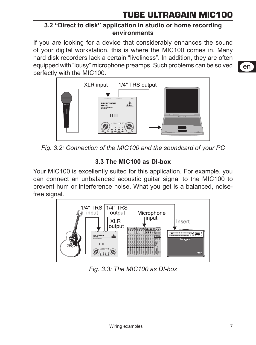### **3.2 "Direct to disk" application in studio or home recording environments**

If you are looking for a device that considerably enhances the sound of your digital workstation, this is where the MIC100 comes in. Many hard disk recorders lack a certain "liveliness". In addition, they are often equipped with "lousy" microphone preamps. Such problems can be solved perfectly with the MIC100.



*Fig. 3.2: Connection of the MIC100 and the soundcard of your PC*

## **3.3 The MIC100 as DI-box**

Your MIC100 is excellently suited for this application. For example, you can connect an unbalanced acoustic guitar signal to the MIC100 to prevent hum or interference noise. What you get is a balanced, noisefree signal.



*Fig. 3.3: The MIC100 as DI-box*

en.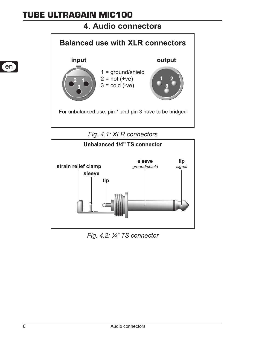## **4. Audio connectors**



*Fig. 4.1: XLR connectors*



*Fig. 4.2: ¼" TS connector*

en n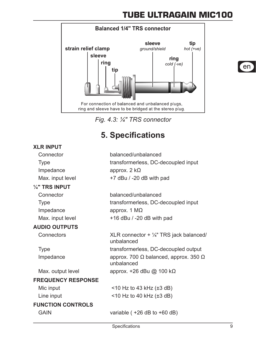

*Fig. 4.3: ¼" TRS connector*

## **5. Specifications**

#### **XLR input**

| Connector                 | balanced/unbalanced                                                |
|---------------------------|--------------------------------------------------------------------|
| Type                      | transformerless, DC-decoupled input                                |
| Impedance                 | approx. $2 k\Omega$                                                |
| Max. input level          | +7 dBu / -20 dB with pad                                           |
| 1/4" TRS INPUT            |                                                                    |
| Connector                 | balanced/unbalanced                                                |
| Type                      | transformerless, DC-decoupled input                                |
| Impedance                 | approx. $1 M\Omega$                                                |
| Max. input level          | $+16$ dBu / -20 dB with pad                                        |
| <b>AUDIO OUTPUTS</b>      |                                                                    |
| Connectors                | XLR connector $+$ $\frac{1}{4}$ " TRS jack balanced/<br>unhalanced |
| Type                      | transformerless, DC-decoupled output                               |
| Impedance                 | approx. 700 Ω balanced, approx. 350 Ω<br>unbalanced                |
| Max. output level         | approx. +26 dBu @ 100 kΩ                                           |
| <b>FREQUENCY RESPONSE</b> |                                                                    |
| Mic input                 | $<$ 10 Hz to 43 kHz ( $\pm$ 3 dB)                                  |
| Line input                | $<$ 10 Hz to 40 kHz ( $\pm$ 3 dB)                                  |
| <b>FUNCTION CONTROLS</b>  |                                                                    |
| GAIN                      | variable $(+26 dB)$ to $+60 dB)$                                   |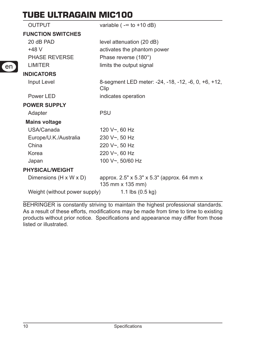| <b>OUTPUT</b>                 | variable ( $-\infty$ to $+10$ dB)                               |
|-------------------------------|-----------------------------------------------------------------|
| <b>FUNCTION SWITCHES</b>      |                                                                 |
| 20 dB PAD                     | level attenuation (20 dB)                                       |
| $+48V$                        | activates the phantom power                                     |
| PHASE REVERSE                 | Phase reverse (180°)                                            |
| <b>LIMITER</b>                | limits the output signal                                        |
| <b>INDICATORS</b>             |                                                                 |
| Input Level                   | 8-segment LED meter: -24, -18, -12, -6, 0, +6, +12,<br>Clip     |
| Power LED                     | indicates operation                                             |
| <b>POWER SUPPLY</b>           |                                                                 |
| Adapter                       | PSU                                                             |
| <b>Mains voltage</b>          |                                                                 |
| USA/Canada                    | 120 V~, 60 Hz                                                   |
| Europe/U.K./Australia         | 230 V~, 50 Hz                                                   |
| China                         | 220 V~, 50 Hz                                                   |
| Korea                         | 220 V~, 60 Hz                                                   |
| Japan                         | 100 V~, 50/60 Hz                                                |
| <b>PHYSICAL/WEIGHT</b>        |                                                                 |
| Dimensions (H x W x D)        | approx. 2.5" x 5.3" x 5.3" (approx. 64 mm x<br>135 mm x 135 mm) |
| Weight (without power supply) | 1.1 lbs $(0.5 \text{ kg})$                                      |

BEHRINGER is constantly striving to maintain the highest professional standards. As a result of these efforts, modifications may be made from time to time to existing products without prior notice. Specifications and appearance may differ from those listed or illustrated.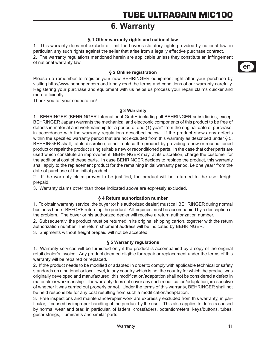## **6. Warranty**

#### **§ 1 Other warranty rights and national law**

1. This warranty does not exclude or limit the buyer's statutory rights provided by national law, in particular, any such rights against the seller that arise from a legally effective purchase contract. 2. The warranty regulations mentioned herein are applicable unless they constitute an infringement of national warranty law.

#### **§ 2 Online registration**

Please do remember to register your new BEHRINGER equipment right after your purchase by visiting http://www.behringer.com and kindly read the terms and conditions of our warranty carefully. Registering your purchase and equipment with us helps us process your repair claims quicker and more efficiently.

Thank you for your cooperation!

#### **§ 3 Warranty**

1. BEHRINGER (BEHRINGER International GmbH including all BEHRINGER subsidiaries, except BEHRINGER Japan) warrants the mechanical and electronic components of this product to be free of defects in material and workmanship for a period of one (1) year\* from the original date of purchase, in accordance with the warranty regulations described below. If the product shows any defects within the specified warranty period that are not excluded from this warranty as described under \$5. BEHRINGER shall, at its discretion, either replace the product by providing a new or reconditioned product or repair the product using suitable new or reconditioned parts. In the case that other parts are used which constitute an improvement, BEHRINGER may, at its discretion, charge the customer for the additional cost of these parts. In case BEHRINGER decides to replace the product, this warranty shall apply to the replacement product for the remaining initial warranty period, i.e one year\* from the date of purchase of the initial product.

2. If the warranty claim proves to be justified, the product will be returned to the user freight prepaid.

3. Warranty claims other than those indicated above are expressly excluded.

#### **§ 4 Return authorization number**

1. To obtain warranty service, the buyer (or his authorized dealer) must call BEHRINGER during normal business hours BEFORE returning the product. All inquiries must be accompanied by a description of the problem. The buyer or his authorized dealer will receive a return authorization number.

2. Subsequently, the product must be returned in its original shipping carton, together with the return authorization number. The return shipment address will be indicated by BEHRINGER.

3. Shipments without freight prepaid will not be accepted.

#### **§ 5 Warranty regulations**

1. Warranty services will be furnished only if the product is accompanied by a copy of the original retail dealer's invoice. Any product deemed eligible for repair or replacement under the terms of this warranty will be repaired or replaced.

2. If the product needs to be modified or adapted in order to comply with applicable technical or safety standards on a national or local level, in any country which is not the country for which the product was originally developed and manufactured, this modification/adaptation shall not be considered a defect in materials or workmanship. The warranty does not cover any such modification/adaptation, irrespective of whether it was carried out properly or not. Under the terms of this warranty, BEHRINGER shall not be held responsible for any cost resulting from such a modification/adaptation.

3. Free inspections and maintenance/repair work are expressly excluded from this warranty, in particular, if caused by improper handling of the product by the user. This also applies to defects caused by normal wear and tear, in particular, of faders, crossfaders, potentiometers, keys/buttons, tubes, guitar strings, illuminants and similar parts.